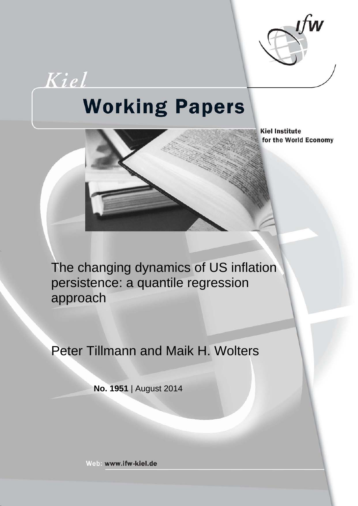

# **Working Papers**

Kiel

**Kiel Institute** for the World Economy



Peter Tillmann and Maik H. Wolters

**No. 1951** | August 2014

Web: www.ifw-kiel.de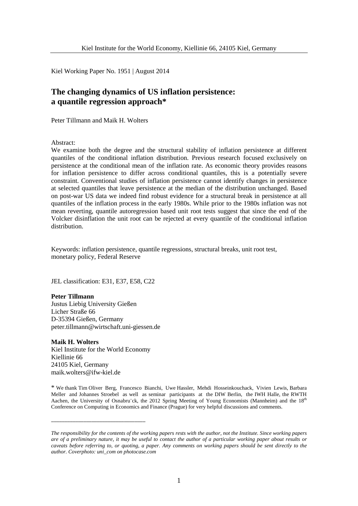Kiel Working Paper No. 1951 | August 2014

# **The changing dynamics of US inflation persistence: a quantile regression approach\***

Peter Tillmann and Maik H. Wolters

Abstract:

We examine both the degree and the structural stability of inflation persistence at different quantiles of the conditional inflation distribution. Previous research focused exclusively on persistence at the conditional mean of the inflation rate. As economic theory provides reasons for inflation persistence to differ across conditional quantiles, this is a potentially severe constraint. Conventional studies of inflation persistence cannot identify changes in persistence at selected quantiles that leave persistence at the median of the distribution unchanged. Based on post-war US data we indeed find robust evidence for a structural break in persistence at all quantiles of the inflation process in the early 1980s. While prior to the 1980s inflation was not mean reverting, quantile autoregression based unit root tests suggest that since the end of the Volcker disinflation the unit root can be rejected at every quantile of the conditional inflation distribution.

Keywords: inflation persistence, quantile regressions, structural breaks, unit root test, monetary policy, Federal Reserve

JEL classification: E31, E37, E58, C22

**Peter Tillmann** Justus Liebig University Gießen Licher Straße 66 D-35394 Gießen, Germany [peter.tillmann@wirtschaft.uni-giessen.de](mailto:peter.tillmann@wirtschaft.uni-giessen.de)

**Maik H. Wolters** Kiel Institute for the World Economy Kiellinie 66 24105 Kiel, Germany maik.wolters@ifw-kiel.de

\_\_\_\_\_\_\_\_\_\_\_\_\_\_\_\_\_\_\_\_\_\_\_\_\_\_\_\_\_\_\_\_\_\_\_

\* We thank Tim Oliver Berg, Francesco Bianchi, Uwe Hassler, Mehdi Hosseinkouchack, Vivien Lewis, Barbara Meller and Johannes Stroebel as well as seminar participants at the DIW Berlin, the IWH Halle, the RWTH Aachen, the University of Osnabru¨ck, the 2012 Spring Meeting of Young Economists (Mannheim) and the 18<sup>th</sup> Conference on Computing in Economics and Finance (Prague) for very helpful discussions and comments.

*The responsibility for the contents of the working papers rests with the author, not the Institute. Since working papers are of a preliminary nature, it may be useful to contact the author of a particular working paper about results or caveats before referring to, or quoting, a paper. Any comments on working papers should be sent directly to the author. Coverphoto: uni\_com on photocase.com*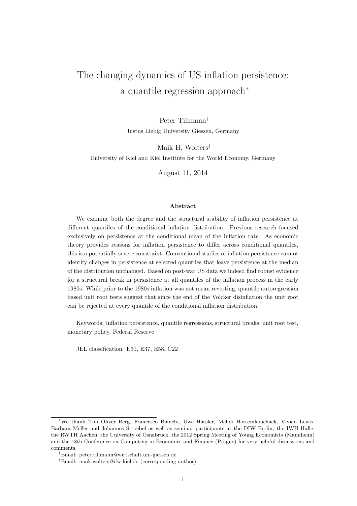# The changing dynamics of US inflation persistence: a quantile regression approach<sup>∗</sup>

Peter Tillmann† Justus Liebig University Giessen, Germany

Maik H. Wolters‡ University of Kiel and Kiel Institute for the World Economy, Germany

August 11, 2014

#### Abstract

We examine both the degree and the structural stability of inflation persistence at different quantiles of the conditional inflation distribution. Previous research focused exclusively on persistence at the conditional mean of the inflation rate. As economic theory provides reasons for inflation persistence to differ across conditional quantiles, this is a potentially severe constraint. Conventional studies of inflation persistence cannot identify changes in persistence at selected quantiles that leave persistence at the median of the distribution unchanged. Based on post-war US data we indeed find robust evidence for a structural break in persistence at all quantiles of the inflation process in the early 1980s. While prior to the 1980s inflation was not mean reverting, quantile autoregression based unit root tests suggest that since the end of the Volcker disinflation the unit root can be rejected at every quantile of the conditional inflation distribution.

Keywords: inflation persistence, quantile regressions, structural breaks, unit root test, monetary policy, Federal Reserve

JEL classification: E31, E37, E58, C22

<sup>∗</sup>We thank Tim Oliver Berg, Francesco Bianchi, Uwe Hassler, Mehdi Hosseinkouchack, Vivien Lewis, Barbara Meller and Johannes Stroebel as well as seminar participants at the DIW Berlin, the IWH Halle, the RWTH Aachen, the University of Osnabrück, the 2012 Spring Meeting of Young Economists (Mannheim) and the 18th Conference on Computing in Economics and Finance (Prague) for very helpful discussions and comments.

<sup>†</sup>Email: peter.tillmann@wirtschaft.uni-giessen.de

<sup>‡</sup>Email: maik.wolters@ifw-kiel.de (corresponding author)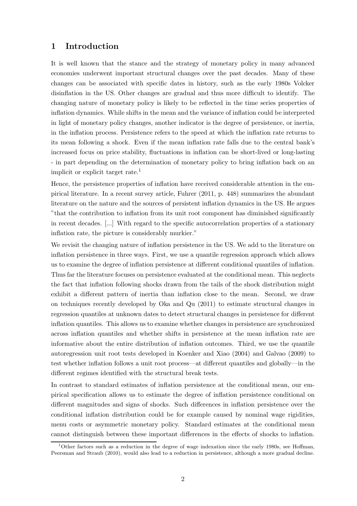# 1 Introduction

It is well known that the stance and the strategy of monetary policy in many advanced economies underwent important structural changes over the past decades. Many of these changes can be associated with specific dates in history, such as the early 1980s Volcker disinflation in the US. Other changes are gradual and thus more difficult to identify. The changing nature of monetary policy is likely to be reflected in the time series properties of inflation dynamics. While shifts in the mean and the variance of inflation could be interpreted in light of monetary policy changes, another indicator is the degree of persistence, or inertia, in the inflation process. Persistence refers to the speed at which the inflation rate returns to its mean following a shock. Even if the mean inflation rate falls due to the central bank's increased focus on price stability, fluctuations in inflation can be short-lived or long-lasting - in part depending on the determination of monetary policy to bring inflation back on an implicit or explicit target rate.<sup>1</sup>

Hence, the persistence properties of inflation have received considerable attention in the empirical literature. In a recent survey article, Fuhrer (2011, p. 448) summarizes the abundant literature on the nature and the sources of persistent inflation dynamics in the US. He argues "that the contribution to inflation from its unit root component has diminished significantly in recent decades. [...] With regard to the specific autocorrelation properties of a stationary inflation rate, the picture is considerably murkier."

We revisit the changing nature of inflation persistence in the US. We add to the literature on inflation persistence in three ways. First, we use a quantile regression approach which allows us to examine the degree of inflation persistence at different conditional quantiles of inflation. Thus far the literature focuses on persistence evaluated at the conditional mean. This neglects the fact that inflation following shocks drawn from the tails of the shock distribution might exhibit a different pattern of inertia than inflation close to the mean. Second, we draw on techniques recently developed by Oka and Qu (2011) to estimate structural changes in regression quantiles at unknown dates to detect structural changes in persistence for different inflation quantiles. This allows us to examine whether changes in persistence are synchronized across inflation quantiles and whether shifts in persistence at the mean inflation rate are informative about the entire distribution of inflation outcomes. Third, we use the quantile autoregression unit root tests developed in Koenker and Xiao (2004) and Galvao (2009) to test whether inflation follows a unit root process—at different quantiles and globally—in the different regimes identified with the structural break tests.

In contrast to standard estimates of inflation persistence at the conditional mean, our empirical specification allows us to estimate the degree of inflation persistence conditional on different magnitudes and signs of shocks. Such differences in inflation persistence over the conditional inflation distribution could be for example caused by nominal wage rigidities, menu costs or asymmetric monetary policy. Standard estimates at the conditional mean cannot distinguish between these important differences in the effects of shocks to inflation.

<sup>&</sup>lt;sup>1</sup>Other factors such as a reduction in the degree of wage indexation since the early 1980s, see Hoffman, Peersman and Straub (2010), would also lead to a reduction in persistence, although a more gradual decline.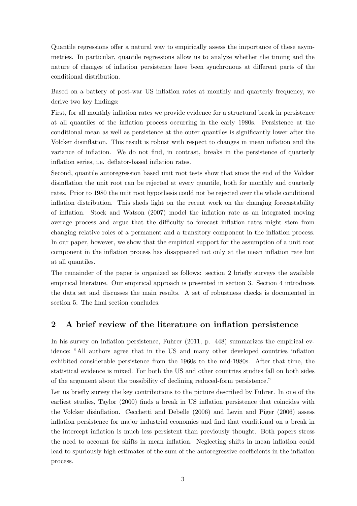Quantile regressions offer a natural way to empirically assess the importance of these asymmetries. In particular, quantile regressions allow us to analyze whether the timing and the nature of changes of inflation persistence have been synchronous at different parts of the conditional distribution.

Based on a battery of post-war US inflation rates at monthly and quarterly frequency, we derive two key findings:

First, for all monthly inflation rates we provide evidence for a structural break in persistence at all quantiles of the inflation process occurring in the early 1980s. Persistence at the conditional mean as well as persistence at the outer quantiles is significantly lower after the Volcker disinflation. This result is robust with respect to changes in mean inflation and the variance of inflation. We do not find, in contrast, breaks in the persistence of quarterly inflation series, i.e. deflator-based inflation rates.

Second, quantile autoregression based unit root tests show that since the end of the Volcker disinflation the unit root can be rejected at every quantile, both for monthly and quarterly rates. Prior to 1980 the unit root hypothesis could not be rejected over the whole conditional inflation distribution. This sheds light on the recent work on the changing forecastability of inflation. Stock and Watson (2007) model the inflation rate as an integrated moving average process and argue that the difficulty to forecast inflation rates might stem from changing relative roles of a permanent and a transitory component in the inflation process. In our paper, however, we show that the empirical support for the assumption of a unit root component in the inflation process has disappeared not only at the mean inflation rate but at all quantiles.

The remainder of the paper is organized as follows: section 2 briefly surveys the available empirical literature. Our empirical approach is presented in section 3. Section 4 introduces the data set and discusses the main results. A set of robustness checks is documented in section 5. The final section concludes.

# 2 A brief review of the literature on inflation persistence

In his survey on inflation persistence, Fuhrer (2011, p. 448) summarizes the empirical evidence: "All authors agree that in the US and many other developed countries inflation exhibited considerable persistence from the 1960s to the mid-1980s. After that time, the statistical evidence is mixed. For both the US and other countries studies fall on both sides of the argument about the possibility of declining reduced-form persistence."

Let us briefly survey the key contributions to the picture described by Fuhrer. In one of the earliest studies, Taylor (2000) finds a break in US inflation persistence that coincides with the Volcker disinflation. Cecchetti and Debelle (2006) and Levin and Piger (2006) assess inflation persistence for major industrial economies and find that conditional on a break in the intercept inflation is much less persistent than previously thought. Both papers stress the need to account for shifts in mean inflation. Neglecting shifts in mean inflation could lead to spuriously high estimates of the sum of the autoregressive coefficients in the inflation process.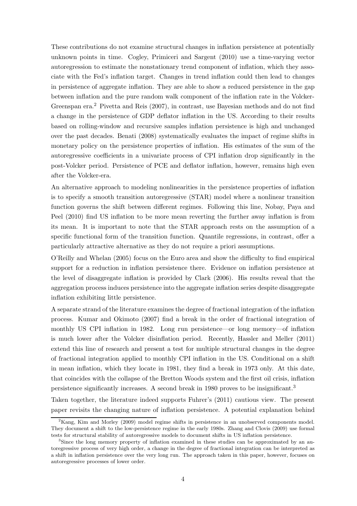These contributions do not examine structural changes in inflation persistence at potentially unknown points in time. Cogley, Primiceri and Sargent (2010) use a time-varying vector autoregression to estimate the nonstationary trend component of inflation, which they associate with the Fed's inflation target. Changes in trend inflation could then lead to changes in persistence of aggregate inflation. They are able to show a reduced persistence in the gap between inflation and the pure random walk component of the inflation rate in the Volcker-Greenspan era.<sup>2</sup> Pivetta and Reis (2007), in contrast, use Bayesian methods and do not find a change in the persistence of GDP deflator inflation in the US. According to their results based on rolling-window and recursive samples inflation persistence is high and unchanged over the past decades. Benati (2008) systematically evaluates the impact of regime shifts in monetary policy on the persistence properties of inflation. His estimates of the sum of the autoregressive coefficients in a univariate process of CPI inflation drop significantly in the post-Volcker period. Persistence of PCE and deflator inflation, however, remains high even after the Volcker-era.

An alternative approach to modeling nonlinearities in the persistence properties of inflation is to specify a smooth transition autoregressive (STAR) model where a nonlinear transition function governs the shift between different regimes. Following this line, Nobay, Paya and Peel (2010) find US inflation to be more mean reverting the further away inflation is from its mean. It is important to note that the STAR approach rests on the assumption of a specific functional form of the transition function. Quantile regressions, in contrast, offer a particularly attractive alternative as they do not require a priori assumptions.

O'Reilly and Whelan (2005) focus on the Euro area and show the difficulty to find empirical support for a reduction in inflation persistence there. Evidence on inflation persistence at the level of disaggregate inflation is provided by Clark (2006). His results reveal that the aggregation process induces persistence into the aggregate inflation series despite disaggregate inflation exhibiting little persistence.

A separate strand of the literature examines the degree of fractional integration of the inflation process. Kumar and Okimoto (2007) find a break in the order of fractional integration of monthly US CPI inflation in 1982. Long run persistence—or long memory—of inflation is much lower after the Volcker disinflation period. Recently, Hassler and Meller (2011) extend this line of research and present a test for multiple structural changes in the degree of fractional integration applied to monthly CPI inflation in the US. Conditional on a shift in mean inflation, which they locate in 1981, they find a break in 1973 only. At this date, that coincides with the collapse of the Bretton Woods system and the first oil crisis, inflation persistence significantly increases. A second break in 1980 proves to be insignificant.<sup>3</sup>

Taken together, the literature indeed supports Fuhrer's (2011) cautious view. The present paper revisits the changing nature of inflation persistence. A potential explanation behind

 ${}^{2}$ Kang, Kim and Morley (2009) model regime shifts in persistence in an unobserved components model. They document a shift to the low-persistence regime in the early 1980s. Zhang and Clovis (2009) use formal tests for structural stability of autoregressive models to document shifts in US inflation persistence.

<sup>&</sup>lt;sup>3</sup>Since the long memory property of inflation examined in these studies can be approximated by an autoregressive process of very high order, a change in the degree of fractional integration can be interpreted as a shift in inflation persistence over the very long run. The approach taken in this paper, however, focuses on autoregressive processes of lower order.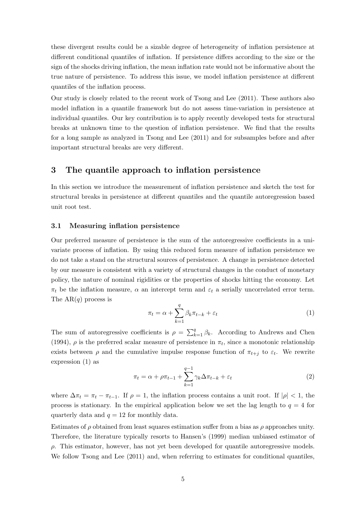these divergent results could be a sizable degree of heterogeneity of inflation persistence at different conditional quantiles of inflation. If persistence differs according to the size or the sign of the shocks driving inflation, the mean inflation rate would not be informative about the true nature of persistence. To address this issue, we model inflation persistence at different quantiles of the inflation process.

Our study is closely related to the recent work of Tsong and Lee (2011). These authors also model inflation in a quantile framework but do not assess time-variation in persistence at individual quantiles. Our key contribution is to apply recently developed tests for structural breaks at unknown time to the question of inflation persistence. We find that the results for a long sample as analyzed in Tsong and Lee (2011) and for subsamples before and after important structural breaks are very different.

# 3 The quantile approach to inflation persistence

In this section we introduce the measurement of inflation persistence and sketch the test for structural breaks in persistence at different quantiles and the quantile autoregression based unit root test.

#### 3.1 Measuring inflation persistence

Our preferred measure of persistence is the sum of the autoregressive coefficients in a univariate process of inflation. By using this reduced form measure of inflation persistence we do not take a stand on the structural sources of persistence. A change in persistence detected by our measure is consistent with a variety of structural changes in the conduct of monetary policy, the nature of nominal rigidities or the properties of shocks hitting the economy. Let  $\pi_t$  be the inflation measure,  $\alpha$  an intercept term and  $\varepsilon_t$  a serially uncorrelated error term. The  $AR(q)$  process is

$$
\pi_t = \alpha + \sum_{k=1}^q \beta_k \pi_{t-k} + \varepsilon_t \tag{1}
$$

The sum of autoregressive coefficients is  $\rho = \sum_{k=1}^{q} \beta_k$ . According to Andrews and Chen (1994),  $\rho$  is the preferred scalar measure of persistence in  $\pi_t$ , since a monotonic relationship exists between  $\rho$  and the cumulative impulse response function of  $\pi_{t+j}$  to  $\varepsilon_t$ . We rewrite expression (1) as

$$
\pi_t = \alpha + \rho \pi_{t-1} + \sum_{k=1}^{q-1} \gamma_k \Delta \pi_{t-k} + \varepsilon_t \tag{2}
$$

where  $\Delta \pi_t = \pi_t - \pi_{t-1}$ . If  $\rho = 1$ , the inflation process contains a unit root. If  $|\rho| < 1$ , the process is stationary. In the empirical application below we set the lag length to  $q = 4$  for quarterly data and  $q = 12$  for monthly data.

Estimates of  $\rho$  obtained from least squares estimation suffer from a bias as  $\rho$  approaches unity. Therefore, the literature typically resorts to Hansen's (1999) median unbiased estimator of  $\rho$ . This estimator, however, has not yet been developed for quantile autoregressive models. We follow Tsong and Lee  $(2011)$  and, when referring to estimates for conditional quantiles,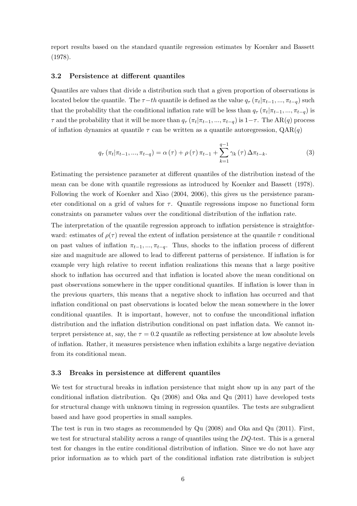report results based on the standard quantile regression estimates by Koenker and Bassett (1978).

#### 3.2 Persistence at different quantiles

Quantiles are values that divide a distribution such that a given proportion of observations is located below the quantile. The  $\tau-th$  quantile is defined as the value  $q_{\tau}(\pi_t|\pi_{t-1},...,\pi_{t-q})$  such that the probability that the conditional inflation rate will be less than  $q_{\tau}(\pi_t|\pi_{t-1},...,\pi_{t-q})$  is  $\tau$  and the probability that it will be more than  $q_{\tau}(\pi_t|\pi_{t-1},...,\pi_{t-q})$  is  $1-\tau$ . The AR(q) process of inflation dynamics at quantile  $\tau$  can be written as a quantile autoregression,  $QAR(q)$ 

$$
q_{\tau}(\pi_t|\pi_{t-1},...,\pi_{t-q}) = \alpha(\tau) + \rho(\tau)\pi_{t-1} + \sum_{k=1}^{q-1} \gamma_k(\tau) \Delta \pi_{t-k}.
$$
 (3)

Estimating the persistence parameter at different quantiles of the distribution instead of the mean can be done with quantile regressions as introduced by Koenker and Bassett (1978). Following the work of Koenker and Xiao (2004, 2006), this gives us the persistence parameter conditional on a grid of values for  $\tau$ . Quantile regressions impose no functional form constraints on parameter values over the conditional distribution of the inflation rate.

The interpretation of the quantile regression approach to inflation persistence is straightforward: estimates of  $\rho(\tau)$  reveal the extent of inflation persistence at the quantile  $\tau$  conditional on past values of inflation  $\pi_{t-1}, ..., \pi_{t-q}$ . Thus, shocks to the inflation process of different size and magnitude are allowed to lead to different patterns of persistence. If inflation is for example very high relative to recent inflation realizations this means that a large positive shock to inflation has occurred and that inflation is located above the mean conditional on past observations somewhere in the upper conditional quantiles. If inflation is lower than in the previous quarters, this means that a negative shock to inflation has occurred and that inflation conditional on past observations is located below the mean somewhere in the lower conditional quantiles. It is important, however, not to confuse the unconditional inflation distribution and the inflation distribution conditional on past inflation data. We cannot interpret persistence at, say, the  $\tau = 0.2$  quantile as reflecting persistence at low absolute levels of inflation. Rather, it measures persistence when inflation exhibits a large negative deviation from its conditional mean.

#### 3.3 Breaks in persistence at different quantiles

We test for structural breaks in inflation persistence that might show up in any part of the conditional inflation distribution. Qu (2008) and Oka and Qu (2011) have developed tests for structural change with unknown timing in regression quantiles. The tests are subgradient based and have good properties in small samples.

The test is run in two stages as recommended by Qu (2008) and Oka and Qu (2011). First, we test for structural stability across a range of quantiles using the  $DQ$ -test. This is a general test for changes in the entire conditional distribution of inflation. Since we do not have any prior information as to which part of the conditional inflation rate distribution is subject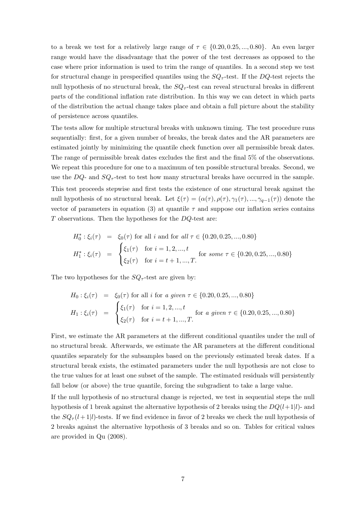to a break we test for a relatively large range of  $\tau \in \{0.20, 0.25, ..., 0.80\}$ . An even larger range would have the disadvantage that the power of the test decreases as opposed to the case where prior information is used to trim the range of quantiles. In a second step we test for structural change in prespecified quantiles using the  $SQ_\tau$ -test. If the DQ-test rejects the null hypothesis of no structural break, the  $SQ_\tau$ -test can reveal structural breaks in different parts of the conditional inflation rate distribution. In this way we can detect in which parts of the distribution the actual change takes place and obtain a full picture about the stability of persistence across quantiles.

The tests allow for multiple structural breaks with unknown timing. The test procedure runs sequentially: first, for a given number of breaks, the break dates and the AR parameters are estimated jointly by minimizing the quantile check function over all permissible break dates. The range of permissible break dates excludes the first and the final 5% of the observations. We repeat this procedure for one to a maximum of ten possible structural breaks. Second, we use the DQ- and  $SQ_{\tau}$ -test to test how many structural breaks have occurred in the sample. This test proceeds stepwise and first tests the existence of one structural break against the null hypothesis of no structural break. Let  $\xi(\tau) = (\alpha(\tau), \rho(\tau), \gamma_1(\tau), ..., \gamma_{q-1}(\tau))$  denote the vector of parameters in equation (3) at quantile  $\tau$  and suppose our inflation series contains T observations. Then the hypotheses for the  $DQ$ -test are:

$$
H_0^* : \xi_i(\tau) = \xi_0(\tau) \text{ for all } i \text{ and for all } \tau \in \{0.20, 0.25, ..., 0.80\}
$$
  

$$
H_1^* : \xi_i(\tau) = \begin{cases} \xi_1(\tau) & \text{for } i = 1, 2, ..., t \\ \xi_2(\tau) & \text{for } i = t + 1, ..., T. \end{cases} \text{ for some } \tau \in \{0.20, 0.25, ..., 0.80\}
$$

The two hypotheses for the  $SQ_{\tau}$ -test are given by:

$$
H_0: \xi_i(\tau) = \xi_0(\tau) \text{ for all } i \text{ for } a \text{ given } \tau \in \{0.20, 0.25, ..., 0.80\}
$$
  

$$
H_1: \xi_i(\tau) = \begin{cases} \xi_1(\tau) & \text{for } i = 1, 2, ..., t \\ \xi_2(\tau) & \text{for } i = t + 1, ..., T. \end{cases} \text{ for } a \text{ given } \tau \in \{0.20, 0.25, ..., 0.80\}
$$

First, we estimate the AR parameters at the different conditional quantiles under the null of no structural break. Afterwards, we estimate the AR parameters at the different conditional quantiles separately for the subsamples based on the previously estimated break dates. If a structural break exists, the estimated parameters under the null hypothesis are not close to the true values for at least one subset of the sample. The estimated residuals will persistently fall below (or above) the true quantile, forcing the subgradient to take a large value.

If the null hypothesis of no structural change is rejected, we test in sequential steps the null hypothesis of 1 break against the alternative hypothesis of 2 breaks using the  $DQ(l+1|l)$ - and the  $SQ_{\tau}(l+1|l)$ -tests. If we find evidence in favor of 2 breaks we check the null hypothesis of 2 breaks against the alternative hypothesis of 3 breaks and so on. Tables for critical values are provided in Qu (2008).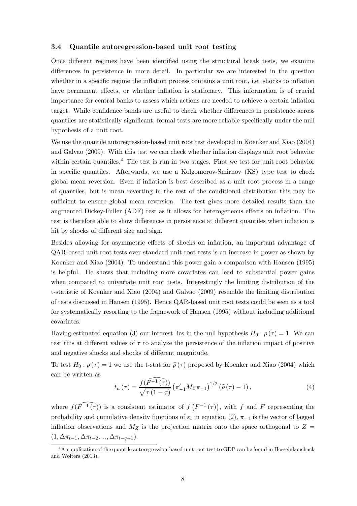#### 3.4 Quantile autoregression-based unit root testing

Once different regimes have been identified using the structural break tests, we examine differences in persistence in more detail. In particular we are interested in the question whether in a specific regime the inflation process contains a unit root, i.e. shocks to inflation have permanent effects, or whether inflation is stationary. This information is of crucial importance for central banks to assess which actions are needed to achieve a certain inflation target. While confidence bands are useful to check whether differences in persistence across quantiles are statistically significant, formal tests are more reliable specifically under the null hypothesis of a unit root.

We use the quantile autoregression-based unit root test developed in Koenker and Xiao (2004) and Galvao (2009). With this test we can check whether inflation displays unit root behavior within certain quantiles.<sup>4</sup> The test is run in two stages. First we test for unit root behavior in specific quantiles. Afterwards, we use a Kolgomorov-Smirnov (KS) type test to check global mean reversion. Even if inflation is best described as a unit root process in a range of quantiles, but is mean reverting in the rest of the conditional distribution this may be sufficient to ensure global mean reversion. The test gives more detailed results than the augmented Dickey-Fuller (ADF) test as it allows for heterogeneous effects on inflation. The test is therefore able to show differences in persistence at different quantiles when inflation is hit by shocks of different size and sign.

Besides allowing for asymmetric effects of shocks on inflation, an important advantage of QAR-based unit root tests over standard unit root tests is an increase in power as shown by Koenker and Xiao (2004). To understand this power gain a comparison with Hansen (1995) is helpful. He shows that including more covariates can lead to substantial power gains when compared to univariate unit root tests. Interestingly the limiting distribution of the t-statistic of Koenker and Xiao (2004) and Galvao (2009) resemble the limiting distribution of tests discussed in Hansen (1995). Hence QAR-based unit root tests could be seen as a tool for systematically resorting to the framework of Hansen (1995) without including additional covariates.

Having estimated equation (3) our interest lies in the null hypothesis  $H_0$ :  $\rho(\tau) = 1$ . We can test this at different values of  $\tau$  to analyze the persistence of the inflation impact of positive and negative shocks and shocks of different magnitude.

To test  $H_0: \rho(\tau) = 1$  we use the t-stat for  $\hat{\rho}(\tau)$  proposed by Koenker and Xiao (2004) which can be written as

$$
t_n(\tau) = \frac{f(\widehat{F^{-1}(\tau)})}{\sqrt{\tau(1-\tau)}} \left(\pi'_{-1} M_Z \pi_{-1}\right)^{1/2} (\widehat{\rho}(\tau) - 1), \tag{4}
$$

where  $f(\widehat{F^{-1}(\tau)})$  is a consistent estimator of  $f(F^{-1}(\tau))$ , with f and F representing the probability and cumulative density functions of  $\varepsilon_t$  in equation (2),  $\pi_{-1}$  is the vector of lagged inflation observations and  $M_Z$  is the projection matrix onto the space orthogonal to  $Z =$  $(1, \Delta \pi_{t-1}, \Delta \pi_{t-2}, ..., \Delta \pi_{t-q+1}).$ 

<sup>&</sup>lt;sup>4</sup>An application of the quantile autoregression-based unit root test to GDP can be found in Hosseinkouchack and Wolters (2013).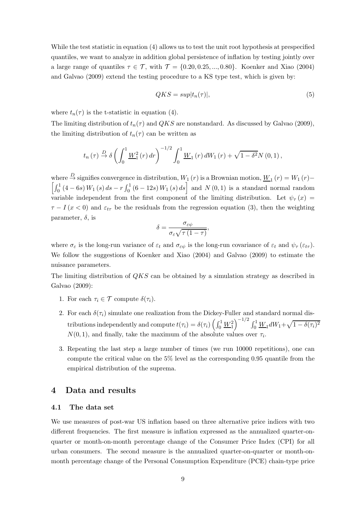While the test statistic in equation (4) allows us to test the unit root hypothesis at prespecified quantiles, we want to analyze in addition global persistence of inflation by testing jointly over a large range of quantiles  $\tau \in \mathcal{T}$ , with  $\mathcal{T} = \{0.20, 0.25, ..., 0.80\}$ . Koenker and Xiao (2004) and Galvao (2009) extend the testing procedure to a KS type test, which is given by:

$$
QKS = sup|t_n(\tau)|,\t\t(5)
$$

where  $t_n(\tau)$  is the t-statistic in equation (4).

The limiting distribution of  $t_n(\tau)$  and  $QKS$  are nonstandard. As discussed by Galvao (2009), the limiting distribution of  $t_n(\tau)$  can be written as

$$
t_n(\tau) \stackrel{D}{\to} \delta \left( \int_0^1 \underline{W_1^2}(r) dr \right)^{-1/2} \int_0^1 \underline{W_1}(r) dW_1(r) + \sqrt{1 - \delta^2} N(0, 1),
$$

where  $\stackrel{D}{\rightarrow}$  signifies convergence in distribution,  $W_1(r)$  is a Brownian motion,  $W_1(r) = W_1(r) - \left[\int_a^1 (4-6s) W_1(s) ds - r \int_a^1 (6-12s) W_1(s) ds\right]$  and  $N(0, 1)$  is a standard normal random  $\int_0^1 (4-6s) W_1(s) ds - r \int_0^1 (6-12s) W_1(s) ds$  and  $N(0,1)$  is a standard normal random variable independent from the first component of the limiting distribution. Let  $\psi_{\tau}(x)$  $\tau - I(x < 0)$  and  $\varepsilon_{t\tau}$  be the residuals from the regression equation (3), then the weighting parameter,  $\delta$ , is

$$
\delta = \frac{\sigma_{\varepsilon\psi}}{\sigma_{\varepsilon}\sqrt{\tau(1-\tau)}},
$$

where  $\sigma_{\varepsilon}$  is the long-run variance of  $\varepsilon_t$  and  $\sigma_{\varepsilon\psi}$  is the long-run covariance of  $\varepsilon_t$  and  $\psi_{\tau}(\varepsilon_{t\tau})$ . We follow the suggestions of Koenker and Xiao (2004) and Galvao (2009) to estimate the nuisance parameters.

The limiting distribution of *QKS* can be obtained by a simulation strategy as described in Galvao (2009):

- 1. For each  $\tau_i \in \mathcal{T}$  compute  $\delta(\tau_i)$ .
- 2. For each  $\delta(\tau_i)$  simulate one realization from the Dickey-Fuller and standard normal distributions independently and compute  $t(\tau_i) = \delta(\tau_i) \left( \int_0^1 \underline{W}_1^2 \right)$  $\int_0^{-1/2} \int_0^1 \underline{W}_1 dW_1 + \sqrt{1 - \delta(\tau_i)^2}$  $N(0, 1)$ , and finally, take the maximum of the absolute values over  $\tau_i$ .
- 3. Repeating the last step a large number of times (we run 10000 repetitions), one can compute the critical value on the 5% level as the corresponding 0.95 quantile from the empirical distribution of the suprema.

### 4 Data and results

#### 4.1 The data set

We use measures of post-war US inflation based on three alternative price indices with two different frequencies. The first measure is inflation expressed as the annualized quarter-onquarter or month-on-month percentage change of the Consumer Price Index (CPI) for all urban consumers. The second measure is the annualized quarter-on-quarter or month-onmonth percentage change of the Personal Consumption Expenditure (PCE) chain-type price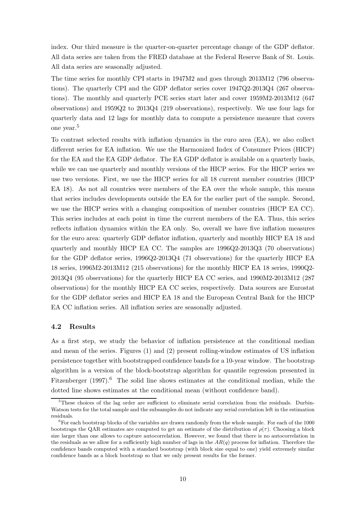index. Our third measure is the quarter-on-quarter percentage change of the GDP deflator. All data series are taken from the FRED database at the Federal Reserve Bank of St. Louis. All data series are seasonally adjusted.

The time series for monthly CPI starts in 1947M2 and goes through 2013M12 (796 observations). The quarterly CPI and the GDP deflator series cover 1947Q2-2013Q4 (267 observations). The monthly and quarterly PCE series start later and cover 1959M2-2013M12 (647 observations) and 1959Q2 to 2013Q4 (219 observations), respectively. We use four lags for quarterly data and 12 lags for monthly data to compute a persistence measure that covers one year.<sup>5</sup>

To contrast selected results with inflation dynamics in the euro area (EA), we also collect different series for EA inflation. We use the Harmonized Index of Consumer Prices (HICP) for the EA and the EA GDP deflator. The EA GDP deflator is available on a quarterly basis, while we can use quarterly and monthly versions of the HICP series. For the HICP series we use two versions. First, we use the HICP series for all 18 current member countries (HICP EA 18). As not all countries were members of the EA over the whole sample, this means that series includes developments outside the EA for the earlier part of the sample. Second, we use the HICP series with a changing composition of member countries (HICP EA CC). This series includes at each point in time the current members of the EA. Thus, this series reflects inflation dynamics within the EA only. So, overall we have five inflation measures for the euro area: quarterly GDP deflator inflation, quarterly and monthly HICP EA 18 and quarterly and monthly HICP EA CC. The samples are 1996Q2-2013Q3 (70 observations) for the GDP deflator series, 1996Q2-2013Q4 (71 observations) for the quarterly HICP EA 18 series, 1996M2-2013M12 (215 observations) for the monthly HICP EA 18 series, 1990Q2- 2013Q4 (95 observations) for the quarterly HICP EA CC series, and 1990M2-2013M12 (287 observations) for the monthly HICP EA CC series, respectively. Data sources are Eurostat for the GDP deflator series and HICP EA 18 and the European Central Bank for the HICP EA CC inflation series. All inflation series are seasonally adjusted.

#### 4.2 Results

As a first step, we study the behavior of inflation persistence at the conditional median and mean of the series. Figures (1) and (2) present rolling-window estimates of US inflation persistence together with bootstrapped confidence bands for a 10-year window. The bootstrap algorithm is a version of the block-bootstrap algorithm for quantile regression presented in Fitzenberger  $(1997)$ .<sup>6</sup> The solid line shows estimates at the conditional median, while the dotted line shows estimates at the conditional mean (without confidence band).

<sup>&</sup>lt;sup>5</sup>These choices of the lag order are sufficient to eliminate serial correlation from the residuals. Durbin-Watson tests for the total sample and the subsamples do not indicate any serial correlation left in the estimation residuals.

 $6$ For each bootstrap blocks of the variables are drawn randomly from the whole sample. For each of the 1000 bootstraps the QAR estimates are computed to get an estimate of the distribution of  $\rho(\tau)$ . Choosing a block size larger than one allows to capture autocorrelation. However, we found that there is no autocorrelation in the residuals as we allow for a sufficiently high number of lags in the  $AR(q)$  process for inflation. Therefore the confidence bands computed with a standard bootstrap (with block size equal to one) yield extremely similar confidence bands as a block bootstrap so that we only present results for the former.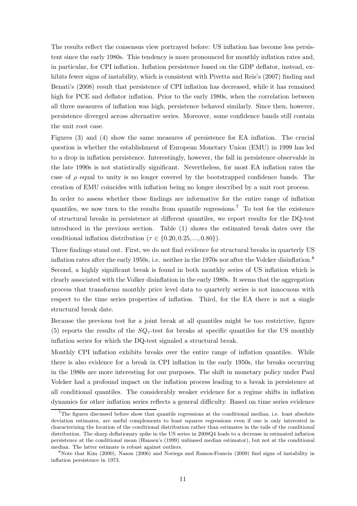The results reflect the consensus view portrayed before: US inflation has become less persistent since the early 1980s. This tendency is more pronounced for monthly inflation rates and, in particular, for CPI inflation. Inflation persistence based on the GDP deflator, instead, exhibits fewer signs of instability, which is consistent with Pivetta and Reis's (2007) finding and Benati's (2008) result that persistence of CPI inflation has decreased, while it has remained high for PCE and deflator inflation. Prior to the early 1980s, when the correlation between all three measures of inflation was high, persistence behaved similarly. Since then, however, persistence diverged across alternative series. Moreover, some confidence bands still contain the unit root case.

Figures (3) and (4) show the same measures of persistence for EA inflation. The crucial question is whether the establishment of European Monetary Union (EMU) in 1999 has led to a drop in inflation persistence. Interestingly, however, the fall in persistence observable in the late 1990s is not statistically significant. Nevertheless, for most EA inflation rates the case of  $\rho$  equal to unity is no longer covered by the bootstrapped confidence bands. The creation of EMU coincides with inflation being no longer described by a unit root process.

In order to assess whether these findings are informative for the entire range of inflation quantiles, we now turn to the results from quantile regressions.<sup>7</sup> To test for the existence of structural breaks in persistence at different quantiles, we report results for the DQ-test introduced in the previous section. Table (1) shows the estimated break dates over the conditional inflation distribution ( $\tau \in \{0.20, 0.25, ..., 0.80\}\$ ).

Three findings stand out. First, we do not find evidence for structural breaks in quarterly US inflation rates after the early 1950s, i.e. neither in the 1970s nor after the Volcker disinflation.<sup>8</sup> Second, a highly significant break is found in both monthly series of US inflation which is clearly associated with the Volker disinflation in the early 1980s. It seems that the aggregation process that transforms monthly price level data to quarterly series is not innocuous with respect to the time series properties of inflation. Third, for the EA there is not a single structural break date.

Because the previous test for a joint break at all quantiles might be too restrictive, figure (5) reports the results of the  $SQ<sub>\tau</sub>$ -test for breaks at specific quantiles for the US monthly inflation series for which the DQ-test signaled a structural break.

Monthly CPI inflation exhibits breaks over the entire range of inflation quantiles. While there is also evidence for a break in CPI inflation in the early 1950s, the breaks occurring in the 1980s are more interesting for our purposes. The shift in monetary policy under Paul Volcker had a profound impact on the inflation process leading to a break in persistence at all conditional quantiles. The considerably weaker evidence for a regime shifts in inflation dynamics for other inflation series reflects a general difficulty. Based on time series evidence

 $7$ The figures discussed before show that quantile regressions at the conditional median, i.e. least absolute deviation estimates, are useful complements to least squares regressions even if one is only interested in characterizing the location of the conditional distribution rather than estimates in the tails of the conditional distribution. The sharp deflationary spike in the US series in 2008Q4 leads to a decrease in estimated inflation persistence at the conditional mean (Hansen's (1999) unbiased median estimator), but not at the conditional median. The latter estimate is robust against outliers.

<sup>8</sup>Note that Kim (2000), Nason (2006) and Noriega and Ramos-Francia (2009) find signs of instability in inflation persistence in 1973.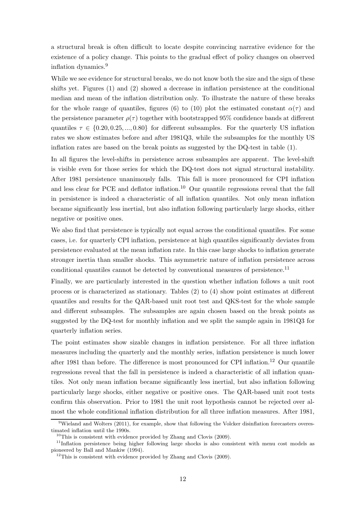a structural break is often difficult to locate despite convincing narrative evidence for the existence of a policy change. This points to the gradual effect of policy changes on observed inflation dynamics.<sup>9</sup>

While we see evidence for structural breaks, we do not know both the size and the sign of these shifts yet. Figures (1) and (2) showed a decrease in inflation persistence at the conditional median and mean of the inflation distribution only. To illustrate the nature of these breaks for the whole range of quantiles, figures (6) to (10) plot the estimated constant  $\alpha(\tau)$  and the persistence parameter  $\rho(\tau)$  together with bootstrapped 95% confidence bands at different quantiles  $\tau \in \{0.20, 0.25, ..., 0.80\}$  for different subsamples. For the quarterly US inflation rates we show estimates before and after 1981Q3, while the subsamples for the monthly US inflation rates are based on the break points as suggested by the DQ-test in table (1).

In all figures the level-shifts in persistence across subsamples are apparent. The level-shift is visible even for those series for which the DQ-test does not signal structural instability. After 1981 persistence unanimously falls. This fall is more pronounced for CPI inflation and less clear for PCE and deflator inflation.<sup>10</sup> Our quantile regressions reveal that the fall in persistence is indeed a characteristic of all inflation quantiles. Not only mean inflation became significantly less inertial, but also inflation following particularly large shocks, either negative or positive ones.

We also find that persistence is typically not equal across the conditional quantiles. For some cases, i.e. for quarterly CPI inflation, persistence at high quantiles significantly deviates from persistence evaluated at the mean inflation rate. In this case large shocks to inflation generate stronger inertia than smaller shocks. This asymmetric nature of inflation persistence across conditional quantiles cannot be detected by conventional measures of persistence.<sup>11</sup>

Finally, we are particularly interested in the question whether inflation follows a unit root process or is characterized as stationary. Tables (2) to (4) show point estimates at different quantiles and results for the QAR-based unit root test and QKS-test for the whole sample and different subsamples. The subsamples are again chosen based on the break points as suggested by the DQ-test for monthly inflation and we split the sample again in 1981Q3 for quarterly inflation series.

The point estimates show sizable changes in inflation persistence. For all three inflation measures including the quarterly and the monthly series, inflation persistence is much lower after 1981 than before. The difference is most pronounced for CPI inflation.<sup>12</sup> Our quantile regressions reveal that the fall in persistence is indeed a characteristic of all inflation quantiles. Not only mean inflation became significantly less inertial, but also inflation following particularly large shocks, either negative or positive ones. The QAR-based unit root tests confirm this observation. Prior to 1981 the unit root hypothesis cannot be rejected over almost the whole conditional inflation distribution for all three inflation measures. After 1981,

 $9$ Wieland and Wolters (2011), for example, show that following the Volcker disinflation forecasters overestimated inflation until the 1990s.

<sup>&</sup>lt;sup>10</sup>This is consistent with evidence provided by Zhang and Clovis  $(2009)$ .

<sup>11</sup>Inflation persistence being higher following large shocks is also consistent with menu cost models as pioneered by Ball and Mankiw (1994).

 $12$ This is consistent with evidence provided by Zhang and Clovis (2009).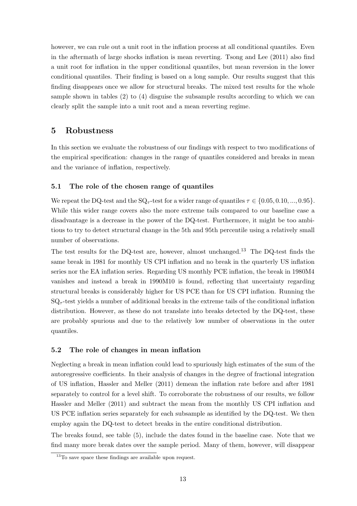however, we can rule out a unit root in the inflation process at all conditional quantiles. Even in the aftermath of large shocks inflation is mean reverting. Tsong and Lee (2011) also find a unit root for inflation in the upper conditional quantiles, but mean reversion in the lower conditional quantiles. Their finding is based on a long sample. Our results suggest that this finding disappears once we allow for structural breaks. The mixed test results for the whole sample shown in tables (2) to (4) disguise the subsample results according to which we can clearly split the sample into a unit root and a mean reverting regime.

# 5 Robustness

In this section we evaluate the robustness of our findings with respect to two modifications of the empirical specification: changes in the range of quantiles considered and breaks in mean and the variance of inflation, respectively.

#### 5.1 The role of the chosen range of quantiles

We repeat the DQ-test and the  $SQ_{\tau}$ -test for a wider range of quantiles  $\tau \in \{0.05, 0.10, ..., 0.95\}.$ While this wider range covers also the more extreme tails compared to our baseline case a disadvantage is a decrease in the power of the DQ-test. Furthermore, it might be too ambitious to try to detect structural change in the 5th and 95th percentile using a relatively small number of observations.

The test results for the DQ-test are, however, almost unchanged.<sup>13</sup> The DQ-test finds the same break in 1981 for monthly US CPI inflation and no break in the quarterly US inflation series nor the EA inflation series. Regarding US monthly PCE inflation, the break in 1980M4 vanishes and instead a break in 1990M10 is found, reflecting that uncertainty regarding structural breaks is considerably higher for US PCE than for US CPI inflation. Running the  $SQ_{\tau}$ -test yields a number of additional breaks in the extreme tails of the conditional inflation distribution. However, as these do not translate into breaks detected by the DQ-test, these are probably spurious and due to the relatively low number of observations in the outer quantiles.

#### 5.2 The role of changes in mean inflation

Neglecting a break in mean inflation could lead to spuriously high estimates of the sum of the autoregressive coefficients. In their analysis of changes in the degree of fractional integration of US inflation, Hassler and Meller (2011) demean the inflation rate before and after 1981 separately to control for a level shift. To corroborate the robustness of our results, we follow Hassler and Meller (2011) and subtract the mean from the monthly US CPI inflation and US PCE inflation series separately for each subsample as identified by the DQ-test. We then employ again the DQ-test to detect breaks in the entire conditional distribution.

The breaks found, see table (5), include the dates found in the baseline case. Note that we find many more break dates over the sample period. Many of them, however, will disappear

<sup>&</sup>lt;sup>13</sup>To save space these findings are available upon request.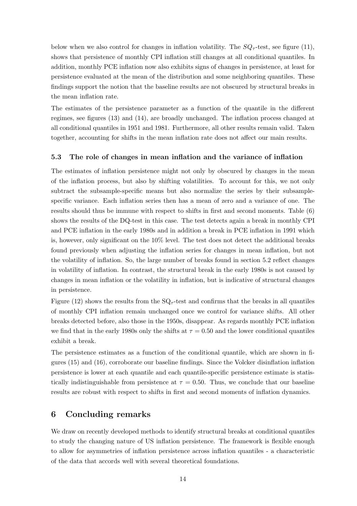below when we also control for changes in inflation volatility. The  $SQ_\tau$ -test, see figure (11), shows that persistence of monthly CPI inflation still changes at all conditional quantiles. In addition, monthly PCE inflation now also exhibits signs of changes in persistence, at least for persistence evaluated at the mean of the distribution and some neighboring quantiles. These findings support the notion that the baseline results are not obscured by structural breaks in the mean inflation rate.

The estimates of the persistence parameter as a function of the quantile in the different regimes, see figures (13) and (14), are broadly unchanged. The inflation process changed at all conditional quantiles in 1951 and 1981. Furthermore, all other results remain valid. Taken together, accounting for shifts in the mean inflation rate does not affect our main results.

#### 5.3 The role of changes in mean inflation and the variance of inflation

The estimates of inflation persistence might not only by obscured by changes in the mean of the inflation process, but also by shifting volatilities. To account for this, we not only subtract the subsample-specific means but also normalize the series by their subsamplespecific variance. Each inflation series then has a mean of zero and a variance of one. The results should thus be immune with respect to shifts in first and second moments. Table (6) shows the results of the DQ-test in this case. The test detects again a break in monthly CPI and PCE inflation in the early 1980s and in addition a break in PCE inflation in 1991 which is, however, only significant on the 10% level. The test does not detect the additional breaks found previously when adjusting the inflation series for changes in mean inflation, but not the volatility of inflation. So, the large number of breaks found in section 5.2 reflect changes in volatility of inflation. In contrast, the structural break in the early 1980s is not caused by changes in mean inflation or the volatility in inflation, but is indicative of structural changes in persistence.

Figure (12) shows the results from the  $SQ_\tau$ -test and confirms that the breaks in all quantiles of monthly CPI inflation remain unchanged once we control for variance shifts. All other breaks detected before, also those in the 1950s, disappear. As regards monthly PCE inflation we find that in the early 1980s only the shifts at  $\tau = 0.50$  and the lower conditional quantiles exhibit a break.

The persistence estimates as a function of the conditional quantile, which are shown in figures (15) and (16), corroborate our baseline findings. Since the Volcker disinflation inflation persistence is lower at each quantile and each quantile-specific persistence estimate is statistically indistinguishable from persistence at  $\tau = 0.50$ . Thus, we conclude that our baseline results are robust with respect to shifts in first and second moments of inflation dynamics.

## 6 Concluding remarks

We draw on recently developed methods to identify structural breaks at conditional quantiles to study the changing nature of US inflation persistence. The framework is flexible enough to allow for asymmetries of inflation persistence across inflation quantiles - a characteristic of the data that accords well with several theoretical foundations.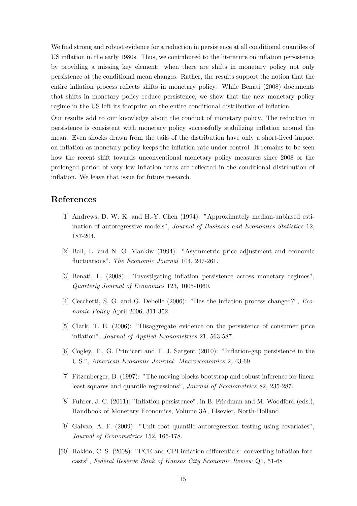We find strong and robust evidence for a reduction in persistence at all conditional quantiles of US inflation in the early 1980s. Thus, we contributed to the literature on inflation persistence by providing a missing key element: when there are shifts in monetary policy not only persistence at the conditional mean changes. Rather, the results support the notion that the entire inflation process reflects shifts in monetary policy. While Benati (2008) documents that shifts in monetary policy reduce persistence, we show that the new monetary policy regime in the US left its footprint on the entire conditional distribution of inflation.

Our results add to our knowledge about the conduct of monetary policy. The reduction in persistence is consistent with monetary policy successfully stabilizing inflation around the mean. Even shocks drawn from the tails of the distribution have only a short-lived impact on inflation as monetary policy keeps the inflation rate under control. It remains to be seen how the recent shift towards unconventional monetary policy measures since 2008 or the prolonged period of very low inflation rates are reflected in the conditional distribution of inflation. We leave that issue for future research.

# References

- [1] Andrews, D. W. K. and H.-Y. Chen (1994): "Approximately median-unbiased estimation of autoregressive models", Journal of Business and Economics Statistics 12, 187-204.
- [2] Ball, L. and N. G. Mankiw (1994): "Asymmetric price adjustment and economic fluctuations", The Economic Journal 104, 247-261.
- [3] Benati, L. (2008): "Investigating inflation persistence across monetary regimes", Quarterly Journal of Economics 123, 1005-1060.
- [4] Cecchetti, S. G. and G. Debelle (2006): "Has the inflation process changed?", Economic Policy April 2006, 311-352.
- [5] Clark, T. E. (2006): "Disaggregate evidence on the persistence of consumer price inflation", Journal of Applied Econometrics 21, 563-587.
- [6] Cogley, T., G. Primiceri and T. J. Sargent (2010): "Inflation-gap persistence in the U.S.", American Economic Journal: Macroeconomics 2, 43-69.
- [7] Fitzenberger, B. (1997): "The moving blocks bootstrap and robust inference for linear least squares and quantile regressions", Journal of Econometrics 82, 235-287.
- [8] Fuhrer, J. C. (2011): "Inflation persistence", in B. Friedman and M. Woodford (eds.), Handbook of Monetary Economics, Volume 3A, Elsevier, North-Holland.
- [9] Galvao, A. F. (2009): "Unit root quantile autoregression testing using covariates", Journal of Econometrics 152, 165-178.
- [10] Hakkio, C. S. (2008): "PCE and CPI inflation differentials: converting inflation forecasts", Federal Reserve Bank of Kansas City Economic Review Q1, 51-68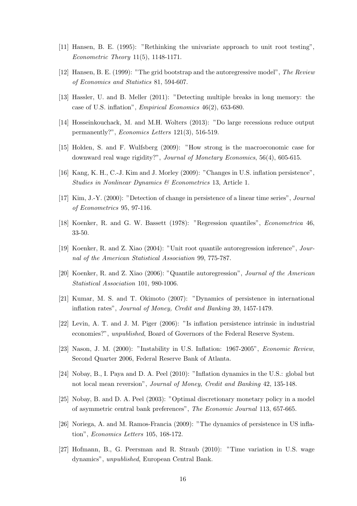- [11] Hansen, B. E. (1995): "Rethinking the univariate approach to unit root testing", Econometric Theory 11(5), 1148-1171.
- [12] Hansen, B. E. (1999): "The grid bootstrap and the autoregressive model", The Review of Economics and Statistics 81, 594-607.
- [13] Hassler, U. and B. Meller (2011): "Detecting multiple breaks in long memory: the case of U.S. inflation", Empirical Economics 46(2), 653-680.
- [14] Hosseinkouchack, M. and M.H. Wolters (2013): "Do large recessions reduce output permanently?", Economics Letters 121(3), 516-519.
- [15] Holden, S. and F. Wulfsberg (2009): "How strong is the macroeconomic case for downward real wage rigidity?", Journal of Monetary Economics, 56(4), 605-615.
- [16] Kang, K. H., C.-J. Kim and J. Morley (2009): "Changes in U.S. inflation persistence", Studies in Nonlinear Dynamics & Econometrics 13, Article 1.
- [17] Kim, J.-Y. (2000): "Detection of change in persistence of a linear time series", Journal of Econometrics 95, 97-116.
- [18] Koenker, R. and G. W. Bassett (1978): "Regression quantiles", Econometrica 46, 33-50.
- [19] Koenker, R. and Z. Xiao (2004): "Unit root quantile autoregression inference", Journal of the American Statistical Association 99, 775-787.
- [20] Koenker, R. and Z. Xiao (2006): "Quantile autoregression", Journal of the American Statistical Association 101, 980-1006.
- [21] Kumar, M. S. and T. Okimoto (2007): "Dynamics of persistence in international inflation rates", Journal of Money, Credit and Banking 39, 1457-1479.
- [22] Levin, A. T. and J. M. Piger (2006): "Is inflation persistence intrinsic in industrial economies?", unpublished, Board of Governors of the Federal Reserve System.
- [23] Nason, J. M. (2000): "Instability in U.S. Inflation: 1967-2005", Economic Review, Second Quarter 2006, Federal Reserve Bank of Atlanta.
- [24] Nobay, B., I. Paya and D. A. Peel (2010): "Inflation dynamics in the U.S.: global but not local mean reversion", Journal of Money, Credit and Banking 42, 135-148.
- [25] Nobay, B. and D. A. Peel (2003): "Optimal discretionary monetary policy in a model of asymmetric central bank preferences", The Economic Journal 113, 657-665.
- [26] Noriega, A. and M. Ramos-Francia (2009): "The dynamics of persistence in US inflation", Economics Letters 105, 168-172.
- [27] Hofmann, B., G. Peersman and R. Straub (2010): "Time variation in U.S. wage dynamics", unpublished, European Central Bank.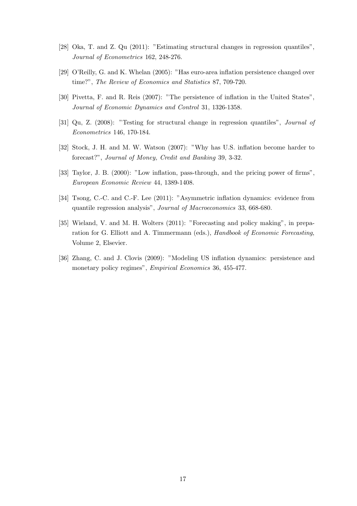- [28] Oka, T. and Z. Qu (2011): "Estimating structural changes in regression quantiles", Journal of Econometrics 162, 248-276.
- [29] O'Reilly, G. and K. Whelan (2005): "Has euro-area inflation persistence changed over time?", The Review of Economics and Statistics 87, 709-720.
- [30] Pivetta, F. and R. Reis (2007): "The persistence of inflation in the United States", Journal of Economic Dynamics and Control 31, 1326-1358.
- [31] Qu, Z. (2008): "Testing for structural change in regression quantiles", Journal of Econometrics 146, 170-184.
- [32] Stock, J. H. and M. W. Watson (2007): "Why has U.S. inflation become harder to forecast?", Journal of Money, Credit and Banking 39, 3-32.
- [33] Taylor, J. B. (2000): "Low inflation, pass-through, and the pricing power of firms", European Economic Review 44, 1389-1408.
- [34] Tsong, C.-C. and C.-F. Lee (2011): "Asymmetric inflation dynamics: evidence from quantile regression analysis", Journal of Macroeconomics 33, 668-680.
- [35] Wieland, V. and M. H. Wolters (2011): "Forecasting and policy making", in preparation for G. Elliott and A. Timmermann (eds.), Handbook of Economic Forecasting, Volume 2, Elsevier.
- [36] Zhang, C. and J. Clovis (2009): "Modeling US inflation dynamics: persistence and monetary policy regimes", Empirical Economics 36, 455-477.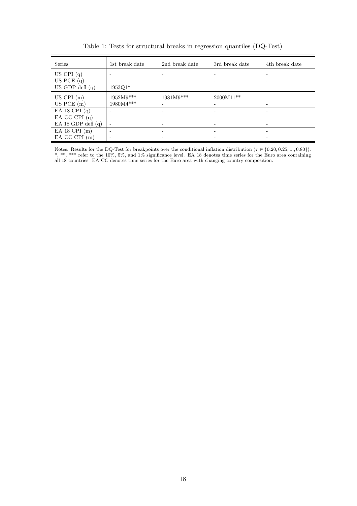| Series               | 1st break date | 2nd break date | 3rd break date | 4th break date |
|----------------------|----------------|----------------|----------------|----------------|
| US CPI $(q)$         |                |                |                |                |
| US PCE $(q)$         |                |                |                |                |
| US GDP defl $(q)$    | $1953Q1*$      |                |                |                |
| $US$ CPI $(m)$       | 1952M9***      | 1981M9***      | $2000M11**$    |                |
| US PCE $(m)$         | 1980M4***      |                |                |                |
| EA 18 CPI $(q)$      |                |                |                |                |
| EA CC CPI $(q)$      |                |                |                |                |
| EA 18 GDP defl $(q)$ |                |                |                |                |
| EA 18 CPI $(m)$      |                |                |                |                |
| EA CC CPI $(m)$      |                |                |                |                |

Table 1: Tests for structural breaks in regression quantiles (DQ-Test)

Notes: Results for the DQ-Test for breakpoints over the conditional inflation distribution ( $\tau \in \{0.20, 0.25, ..., 0.80\}$ ). \*, \*\*, \*\*\* refer to the 10%, 5%, and 1% significance level. EA 18 denotes time series for the Euro area containing all 18 countries. EA CC denotes time series for the Euro area with changing country composition.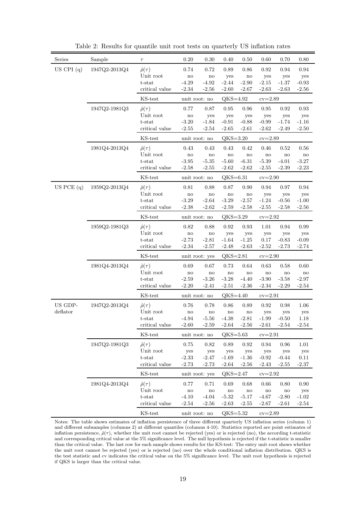| Series         | Sample        | $\tau$                    | $0.20\,$      | 0.30                   | 0.40                   | 0.50                       | 0.60          | 0.70                   | 0.80         |
|----------------|---------------|---------------------------|---------------|------------------------|------------------------|----------------------------|---------------|------------------------|--------------|
| $US$ CPI $(q)$ | 1947Q2-2013Q4 | $\hat{\rho}(\tau)$        | 0.74          | 0.72                   | 0.89                   | 0.86                       | 0.92          | 0.94                   | 0.94         |
|                |               | Unit root                 | $\rm{no}$     | $\rm {no}$             | yes                    | no                         | yes           | yes                    | yes          |
|                |               | t-stat                    | $-4.29$       | $-4.92$                | $-2.44$                | $-2.90$                    | $-2.15$       | $-1.37$                | $-0.93$      |
|                |               | critical value            | $-2.34$       | $-2.56$                | $-2.60$                | $-2.67$                    | $-2.63$       | $-2.63$                | $-2.56$      |
|                |               | KS-test                   | unit root: no |                        | $QKS = 4.92$           |                            | $cv = 2.89$   |                        |              |
|                | 1947Q2-1981Q3 | $\hat{\rho}(\tau)$        | 0.77          | 0.87                   | 0.95                   | 0.96                       | 0.95          | 0.92                   | 0.93         |
|                |               | Unit root                 | $\rm {no}$    | yes                    | yes                    | yes                        | yes           | yes                    | yes          |
|                |               | $t$ -stat                 | $-3.20$       | $-1.84$                | $-0.91$                | $-0.88$                    | $-0.99$       | $-1.74$                | $-1.16$      |
|                |               | critical value            | $-2.55$       | $-2.54$                | $-2.65$                | $-2.61$                    | $-2.62$       | $-2.49$                | $-2.50$      |
|                |               | KS-test                   | unit root: no |                        | $QKS = 3.20$           |                            | $cv = 2.89$   |                        |              |
|                | 1981Q4-2013Q4 | $\hat{\rho}(\tau)$        | 0.43          | 0.43                   | $0.43\,$               | 0.42                       | 0.46          | 0.52                   | 0.56         |
|                |               | Unit root                 | $\rm{no}$     | $\rm{no}$              | $\rm{no}$              | $\mathbf{n}\mathbf{o}$     | $\mathbf{no}$ | $\mathbf{n}\mathbf{o}$ | $\mathbf{n}$ |
|                |               | $t$ -stat                 | $-3.95$       | $-5.35$                | $-5.60$                | $-6.31$                    | $-5.39$       | $-4.01$                | $-3.27$      |
|                |               | critical value            | $-2.58$       | $-2.55$                | $-2.62$                | $-2.62$                    | $-2.55$       | $-2.39$                | $-2.23$      |
|                |               | KS-test                   | unit root: no |                        | $QKS=6.31$             |                            | $cv = 2.90$   |                        |              |
| US PCE $(q)$   | 1959Q2-2013Q4 | $\hat{\rho}(\tau)$        | 0.81          | 0.88                   | 0.87                   | 0.90                       | 0.94          | 0.97                   | 0.94         |
|                |               | Unit root                 | $\rm {no}$    | $\rm{no}$              | $\rm{no}$              | no                         | yes           | yes                    | yes          |
|                |               | $t$ -stat                 | $-3.29$       | $-2.64$                | $-3.29$                | $-2.57$                    | $-1.24$       | $-0.56$                | $-1.00$      |
|                |               | critical value            | $-2.38$       | $-2.62$                | $-2.59$                | $-2.58$                    | $-2.55$       | $-2.58$                | $-2.56$      |
|                |               | KS-test                   | unit root: no |                        | $QKS = 3.29$           |                            | $cv = 2.92$   |                        |              |
|                | 1959Q2-1981Q3 | $\hat{\rho}(\tau)$        | $\rm 0.82$    | 0.88                   | 0.92                   | 0.93                       | 1.01          | 0.94                   | 0.99         |
|                |               | Unit root                 | no            | $\rm{no}$              | yes                    | yes                        | yes           | yes                    | yes          |
|                |               | $t$ -stat                 | $-2.73$       | $-2.81$                | $-1.64$                | $-1.25$                    | 0.17          | $-0.83$                | $-0.09$      |
|                |               | critical value            | $-2.34$       | $-2.57$                | $-2.48$                | $-2.63$                    | $-2.52$       | $-2.73$                | $-2.74$      |
|                |               | KS-test                   |               | unit root: yes         | $QKS = 2.81$           |                            | $cv = 2.90$   |                        |              |
|                | 1981Q4-2013Q4 | $\hat{\rho}(\tau)$        | 0.69          | 0.67                   | 0.73                   | 0.64                       | 0.63          | 0.58                   | 0.60         |
|                |               | Unit root                 | $\rm {no}$    | $\rm{no}$              | $\rm{no}$              | no                         | no            | $\rm {no}$             | no           |
|                |               | $t$ -stat                 | $-2.59$       | $-3.26$                | $-3.28$                | $-4.40$                    | $-3.90$       | $-3.58$                | $-2.97$      |
|                |               | critical value            | $-2.20$       | $-2.41$                | $-2.51$                | $-2.36$                    | $-2.34$       | $-2.29$                | $-2.54$      |
|                |               | KS-test                   | unit root: no |                        | $QKS = 4.40$           |                            | $cv = 2.91$   |                        |              |
| US GDP-        | 1947Q2-2013Q4 | $\hat{\rho}(\tau)$        | $0.76\,$      | 0.78                   | 0.86                   | 0.89                       | 0.92          | 0.98                   | 1.06         |
| deflator       |               | Unit root                 | $\rm{no}$     | $\rm{no}$              | $\mathbf{n}\mathbf{o}$ | $\mathop{\rm no}\nolimits$ | yes           | yes                    | yes          |
|                |               | t-stat                    | 4.94          | $-5.56$                | $-4.38$                | $-2.81$                    | $-1.99$       | $-0.50$                | 1.18         |
|                |               | critical value            | $-2.60$       | $-2.59$                | $-2.64$                | $-2.56$                    | $-2.61$       | $-2.54$                | $-2.54$      |
|                |               | KS-test                   | unit root: no |                        | $QKS=5.63$             |                            | $cv = 2.91$   |                        |              |
|                | 1947Q2-1981Q3 | $\hat{\rho}(\tau)$        | 0.75          | 0.82                   | 0.89                   | 0.92                       | 0.94          | 0.96                   | 1.01         |
|                |               | Unit root                 | yes           | yes                    | yes                    | yes                        | yes           | yes                    | yes          |
|                |               | $t$ -stat                 | $-2.33$       | $-2.47$                | $-1.69$                | $-1.36$                    | $-0.92$       | $-0.44$                | $0.11\,$     |
|                |               | critical value            | $-2.73$       | $-2.73$                | $-2.64$                | $-2.56$                    | $-2.43$       | $-2.55$                | $-2.37$      |
|                |               | KS-test                   |               | unit root: yes         | $QKS = 2.47$           |                            | $cv = 2.92$   |                        |              |
|                | 1981Q4-2013Q4 | $\hat{\rho}(\tau)$        | 0.77          | 0.71                   | 0.69                   | 0.68                       | 0.66          | 0.80                   | 0.90         |
|                |               | Unit root                 | $\mathbf{no}$ | $\mathbf{n}\mathbf{o}$ | $\rm {no}$             | no                         | no            | no                     | yes          |
|                |               | $t$ -stat                 | $-4.10$       | $-4.04$                | $-5.32$                | $-5.17$                    | $-4.67$       | $-2.80$                | $-1.02$      |
|                |               | critical value            | $-2.54$       | $-2.56$                | $-2.63$                | $-2.55$                    | $-2.67$       | $-2.61$                | $-2.54$      |
|                |               | $KS\text{-}\mathbf{test}$ | unit root: no |                        | ${\mathrm QKS}{=}5.32$ |                            | $cv = 2.89$   |                        |              |

Table 2: Results for quantile unit root tests on quarterly US inflation rates

Notes: The table shows estimates of inflation persistence of three different quarterly US inflation series (column 1) and different subsamples (columns 2) at different quantiles (columns 4-10). Statistics reported are point estimates of inflation persistence,  $\hat{\rho}(\tau)$ , whether the unit root cannot be rejected (yes) or is rejected (no), the according t-statistic and corresponding critical value at the 5% significance level. The null hypothesis is rejected if the t-statistic is smaller than the critical value. The last row for each sample shows results for the KS-test: The entry unit root shows whether the unit root cannot be rejected (yes) or is rejected (no) over the whole conditional inflation distribution. QKS is the test statistic and cv indicates the critical value on the 5% significance level. The unit root hypothesis is rejected if QKS is larger than the critical value.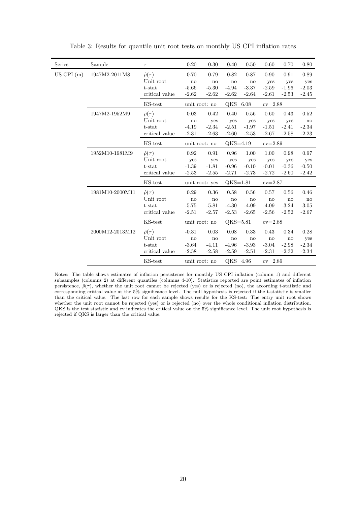| Series         | Sample          | $\tau$             | 0.20          | 0.30           | 0.40         | 0.50                   | 0.60        | $0.70\,$               | 0.80         |  |
|----------------|-----------------|--------------------|---------------|----------------|--------------|------------------------|-------------|------------------------|--------------|--|
| $US$ CPI $(m)$ | 1947M2-2011M8   | $\hat{\rho}(\tau)$ | 0.70          | 0.79           | 0.82         | 0.87                   | 0.90        | 0.91                   | 0.89         |  |
|                |                 | Unit root          | $\mathbf{no}$ | $\mathbf{no}$  | no           | $\mathbf{n}$ o         | yes         | yes                    | yes          |  |
|                |                 | t-stat             | $-5.66$       | $-5.30$        | $-4.94$      | $-3.37$                | $-2.59$     | $-1.96$                | $-2.03$      |  |
|                |                 | critical value     | $-2.62$       | $-2.62$        | $-2.62$      | $-2.64$                | $-2.61$     | $-2.53$                | $-2.45$      |  |
|                |                 | KS-test            | unit root: no |                | $QKS = 6.08$ |                        | $cv = 2.88$ |                        |              |  |
|                | 1947M2-1952M9   | $\hat{\rho}(\tau)$ | 0.03          | 0.42           | 0.40         | 0.56                   | 0.60        | 0.43                   | 0.52         |  |
|                |                 | Unit root          | $\mathbf{n}$  | yes            | yes          | yes                    | yes         | yes                    | $\mathbf{n}$ |  |
|                |                 | t-stat             | $-4.19$       | $-2.34$        | $-2.51$      | $-1.97$                | $-1.51$     | $-2.41$                | $-2.34$      |  |
|                |                 | critical value     | $-2.31$       | $-2.63$        | $-2.60$      | $-2.53$                | $-2.67$     | $-2.58$                | $-2.23$      |  |
|                |                 | KS-test            | unit root: no |                | $QKS = 4.19$ |                        | $cv = 2.89$ |                        |              |  |
|                | 1952M10-1981M9  | $\hat{\rho}(\tau)$ | 0.92          | 0.91           | 0.96         | 1.00                   | 1.00        | 0.98                   | 0.97         |  |
|                |                 | Unit root          | yes           | yes            | yes          | yes                    | yes         | yes                    | yes          |  |
|                |                 | $t$ -stat          | $-1.39$       | $-1.81$        | $-0.96$      | $-0.10$                | $-0.01$     | $-0.36$                | $-0.50$      |  |
|                |                 | critical value     | $-2.53$       | $-2.55$        | $-2.71$      | $-2.73$                | $-2.72$     | $-2.60$                | $-2.42$      |  |
|                |                 | KS-test            |               | unit root: yes | $QKS = 1.81$ |                        | $cv = 2.87$ |                        |              |  |
|                | 1981M10-2000M11 | $\hat{\rho}(\tau)$ | 0.29          | 0.36           | 0.58         | 0.56                   | 0.57        | 0.56                   | 0.46         |  |
|                |                 | Unit root          | $\mathbf{n}$  | no             | no           | $\mathbf{n}\mathbf{o}$ | no          | $\mathbf{n}\mathbf{o}$ | no           |  |
|                |                 | $t$ -stat          | $-5.75$       | $-5.81$        | $-4.30$      | $-4.09$                | $-4.09$     | $-3.24$                | $-3.05$      |  |
|                |                 | critical value     | $-2.51$       | $-2.57$        | $-2.53$      | $-2.65$                | $-2.56$     | $-2.52$                | $-2.67$      |  |
|                |                 | KS-test            |               | unit root: no  | $QKS = 5.81$ |                        | $cv = 2.88$ |                        |              |  |
|                | 2000M12-2013M12 | $\hat{\rho}(\tau)$ | $-0.31$       | 0.03           | 0.08         | 0.33                   | 0.43        | 0.34                   | 0.28         |  |
|                |                 | Unit root          | $\mathbf{n}$  | no             | no           | $\mathbf{n}\mathbf{o}$ | no          | no                     | yes          |  |
|                |                 | $t$ -stat          | $-3.64$       | $-4.11$        | $-4.96$      | $-3.93$                | $-3.04$     | $-2.98$                | $-2.34$      |  |
|                |                 | critical value     | $-2.58$       | $-2.58$        | $-2.59$      | $-2.51$                | $-2.31$     | $-2.32$                | $-2.34$      |  |
|                |                 | KS-test            |               | unit root: no  |              | $OKS = 4.96$           |             | $cv = 2.89$            |              |  |

Table 3: Results for quantile unit root tests on monthly US CPI inflation rates

Notes: The table shows estimates of inflation persistence for monthly US CPI inflation (column 1) and different subsamples (columns 2) at different quantiles (columns 4-10). Statistics reported are point estimates of inflation persistence,  $\hat{\rho}(\tau)$ , whether the unit root cannot be rejected (yes) or is rejected (no), the according t-statistic and corresponding critical value at the 5% significance level. The null hypothesis is rejected if the t-statistic is smaller than the critical value. The last row for each sample shows results for the KS-test: The entry unit root shows whether the unit root cannot be rejected (yes) or is rejected (no) over the whole conditional inflation distribution. QKS is the test statistic and cv indicates the critical value on the 5% significance level. The unit root hypothesis is rejected if QKS is larger than the critical value.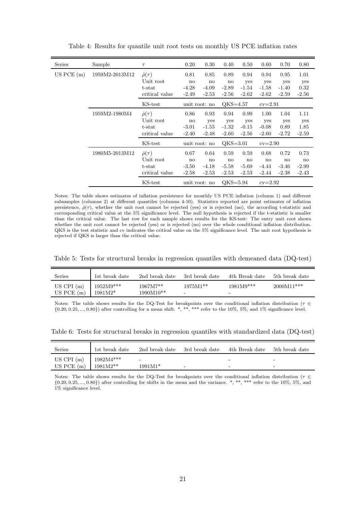| Series         | Sample         | $\tau$             | 0.20    | 0.30          | 0.40         | 0.50         | 0.60        | 0.70         | 0.80    |
|----------------|----------------|--------------------|---------|---------------|--------------|--------------|-------------|--------------|---------|
| $US$ PCE $(m)$ | 1959M2-2013M12 | $\hat{\rho}(\tau)$ | 0.81    | 0.85          | 0.89         | 0.94         | 0.94        | 0.95         | 1.01    |
|                |                | Unit root          | no      | no            | no           | yes          | yes         | yes          | yes     |
|                |                | t-stat             | $-4.28$ | $-4.09$       | $-2.89$      | $-1.54$      | $-1.58$     | $-1.40$      | 0.32    |
|                |                | critical value     | $-2.49$ | $-2.53$       | $-2.56$      | $-2.62$      | $-2.62$     | $-2.59$      | $-2.56$ |
|                |                | KS-test            |         | unit root: no | $OKS = 4.57$ |              | $cv = 2.91$ |              |         |
|                | 1959M2-1980M4  | $\hat{\rho}(\tau)$ | 0.86    | 0.93          | 0.94         | 0.99         | 1.00        | 1.04         | 1.11    |
|                |                | Unit root          | no      | yes           | yes          | yes          | yes         | yes          | yes     |
|                |                | t-stat             | $-3.01$ | $-1.55$       | $-1.32$      | $-0.15$      | $-0.08$     | 0.89         | 1.85    |
|                |                | critical value     | $-2.40$ | $-2.48$       | $-2.60$      | $-2.56$      | $-2.60$     | $-2.72$      | $-2.59$ |
|                |                | KS-test            |         | unit root: no | $OKS = 3.01$ |              | $cv = 2.90$ |              |         |
|                | 1980M5-2013M12 | $\hat{\rho}(\tau)$ | 0.67    | 0.64          | 0.59         | 0.59         | 0.68        | 0.72         | 0.73    |
|                |                | Unit root          | no      | no            | $\mathbf{n}$ | $\mathbf{n}$ | no          | $\mathbf{n}$ | no      |
|                |                | t-stat             | $-3.50$ | $-4.18$       | $-5.58$      | $-5.69$      | $-4.44$     | $-3.46$      | $-2.99$ |
|                |                | critical value     | $-2.58$ | $-2.53$       | $-2.53$      | $-2.53$      | $-2.44$     | $-2.38$      | $-2.43$ |
|                |                | KS-test            |         | unit root: no | $OKS = 5.94$ |              | $cv = 2.92$ |              |         |

Table 4: Results for quantile unit root tests on monthly US PCE inflation rates

Notes: The table shows estimates of inflation persistence for monthly US PCE inflation (column 1) and different subsamples (columns 2) at different quantiles (columns 4-10). Statistics reported are point estimates of inflation persistence,  $\hat{\rho}(\tau)$ , whether the unit root cannot be rejected (yes) or is rejected (no), the according t-statistic and corresponding critical value at the 5% significance level. The null hypothesis is rejected if the t-statistic is smaller than the critical value. The last row for each sample shows results for the KS-test: The entry unit root shows whether the unit root cannot be rejected (yes) or is rejected (no) over the whole conditional inflation distribution. QKS is the test statistic and cv indicates the critical value on the 5% significance level. The unit root hypothesis is rejected if QKS is larger than the critical value.

Table 5: Tests for structural breaks in regression quantiles with demeaned data (DQ-test)

| Series                       | 1st break date         | 2nd break date            | 3rd break date | 4th Break date                          | 5th break date |
|------------------------------|------------------------|---------------------------|----------------|-----------------------------------------|----------------|
| US CPI $(m)$<br>US PCE $(m)$ | $1952M9***$<br>1981M2* | $1967M7**$<br>$1990M10**$ | $1975M1**$     | $1981M9***$<br>$\overline{\phantom{0}}$ | $2000M11***$   |

Notes: The table shows results for the DQ-Test for breakpoints over the conditional inflation distribution ( $\tau \in$  $\{0.20, 0.25, ..., 0.80\}$  after controlling for a mean shift. \*, \*\*, \*\*\* refer to the 10%, 5%, and 1% significance level.

Table 6: Tests for structural breaks in regression quantiles with standardized data (DQ-test)

| Series                       | 1st break date            | 2nd break date | 3rd break date | 4th Break date           | 5th break date                |
|------------------------------|---------------------------|----------------|----------------|--------------------------|-------------------------------|
| US CPI $(m)$<br>US PCE $(m)$ | $1982M4***$<br>$1981M2**$ | -<br>$1991M1*$ | -              | $\overline{\phantom{0}}$ | -<br>$\overline{\phantom{a}}$ |

Notes: The table shows results for the DQ-Test for breakpoints over the conditional inflation distribution ( $\tau \in$  ${0.20, 0.25, ..., 0.80}$  after controlling for shifts in the mean and the variance. \*, \*\*, \*\*\* refer to the 10%, 5%, and 1% significance level.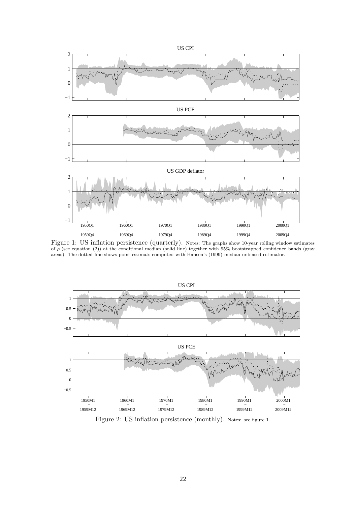

Figure 1: US inflation persistence (quarterly). Notes: The graphs show 10-year rolling window estimates of  $\rho$  (see equation (2)) at the conditional median (solid line) together with 95% bootstrapped confidence bands (gray areas). The dotted line shows point estimats computed with Hansen's (1999) median unbiased estimator.



Figure 2: US inflation persistence (monthly). Notes: see figure 1.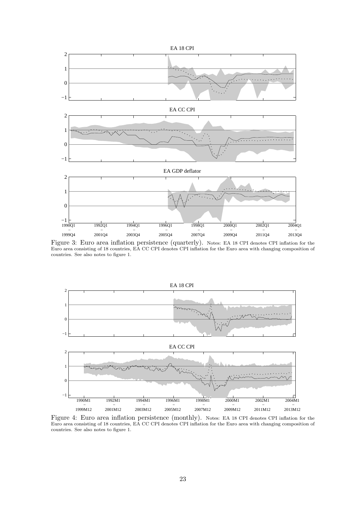

Figure 3: Euro area inflation persistence (quarterly). Notes: EA 18 CPI denotes CPI inflation for the Euro area consisting of 18 countries, EA CC CPI denotes CPI inflation for the Euro area with changing composition of countries. See also notes to figure 1.



Figure 4: Euro area inflation persistence (monthly). Notes: EA 18 CPI denotes CPI inflation for the Euro area consisting of 18 countries, EA CC CPI denotes CPI inflation for the Euro area with changing composition of countries. See also notes to figure 1.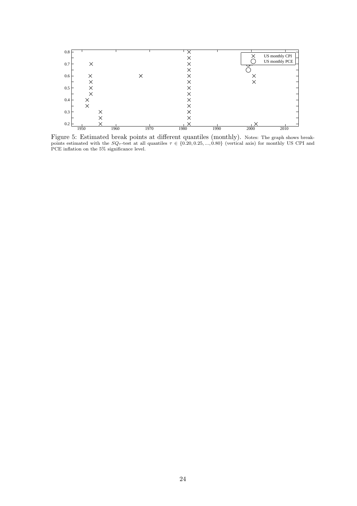

Figure 5: Estimated break points at different quantiles (monthly). Notes: The graph shows breakpoints estimated with the  $SQ_{\tau}$ -test at all quantiles  $\tau \in \{0.20, 0.25, ..., 0.80\}$  (vertical axis) for monthly US CPI and PCE inflation on the 5% significance level.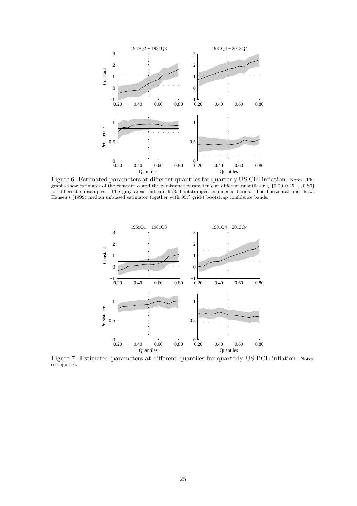

Figure 6: Estimated parameters at different quantiles for quarterly US CPI inflation. Notes: The graphs show estimates of the constant  $\alpha$  and the persistence parameter  $\rho$  at different quantiles  $\tau \in \{0.20, 0.25, ..., 0.80\}$ for different subsamples. The gray areas indicate 95% bootstrapped confidence bands. The horizontal line shows Hansen's (1999) median unbiased estimator together with 95% grid-t bootstrap confidence bands.



Figure 7: Estimated parameters at different quantiles for quarterly US PCE inflation. Notes: see figure 6.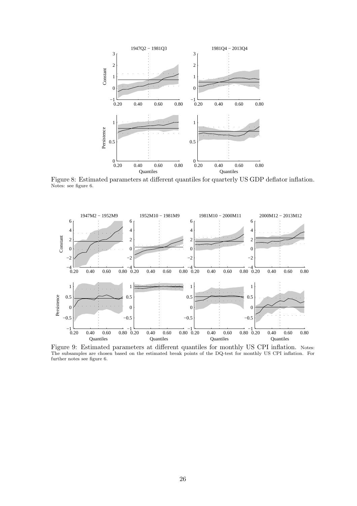

Figure 8: Estimated parameters at different quantiles for quarterly US GDP deflator inflation. Notes: see figure 6.



Figure 9: Estimated parameters at different quantiles for monthly US CPI inflation. Notes: The subsamples are chosen based on the estimated break points of the DQ-test for monthly US CPI inflation. For further notes see figure 6.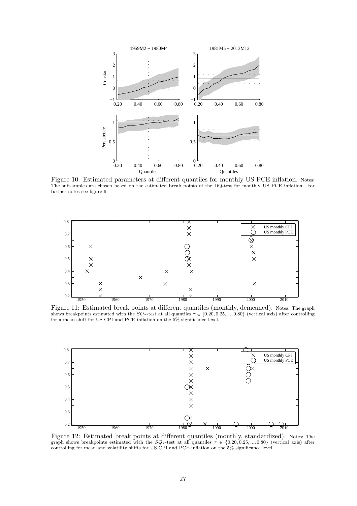

Figure 10: Estimated parameters at different quantiles for monthly US PCE inflation. Notes: The subsamples are chosen based on the estimated break points of the DQ-test for monthly US PCE inflation. For further notes see figure 6.



Figure 11: Estimated break points at different quantiles (monthly, demeaned). Notes: The graph shows breakpoints estimated with the  $SQ_\tau$ -test at all quantiles  $\tau \in \{0.20, 0.25, ..., 0.80\}$  (vertical axis) after controlling for a mean shift for US CPI and PCE inflation on the 5% significance level.



Figure 12: Estimated break points at different quantiles (monthly, standardized). Notes: The graph shows breakpoints estimated with the  $SQ_\tau$ -test at all quantiles  $\tau \in \{0.20, 0.25, ..., 0.80\}$  (vertical axis) after controlling for mean and volatility shifts for US CPI and PCE inflation on the 5% significance level.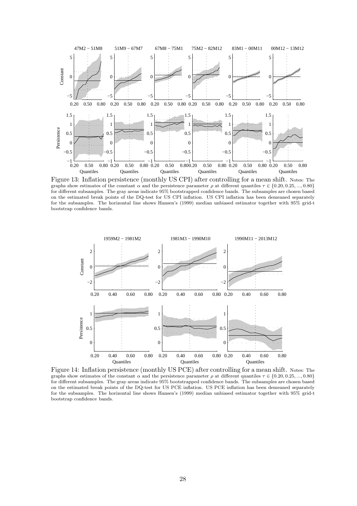

Figure 13: Inflation persistence (monthly US CPI) after controlling for a mean shift. Notes: The graphs show estimates of the constant  $\alpha$  and the persistence parameter  $\rho$  at different quantiles  $\tau \in \{0.20, 0.25, ..., 0.80\}$ for different subsamples. The gray areas indicate 95% bootstrapped confidence bands. The subsamples are chosen based on the estimated break points of the DQ-test for US CPI inflation. US CPI inflation has been demeaned separately for the subsamples. The horizontal line shows Hansen's (1999) median unbiased estimator together with 95% grid-t bootstrap confidence bands.



Figure 14: Inflation persistence (monthly US PCE) after controlling for a mean shift. Notes: The graphs show estimates of the constant  $\alpha$  and the persistence parameter  $\rho$  at different quantiles  $\tau \in \{0.20, 0.25, ..., 0.80\}$ for different subsamples. The gray areas indicate 95% bootstrapped confidence bands. The subsamples are chosen based on the estimated break points of the DQ-test for US PCE inflation. US PCE inflation has been demeaned separately for the subsamples. The horizontal line shows Hansen's (1999) median unbiased estimator together with 95% grid-t bootstrap confidence bands.